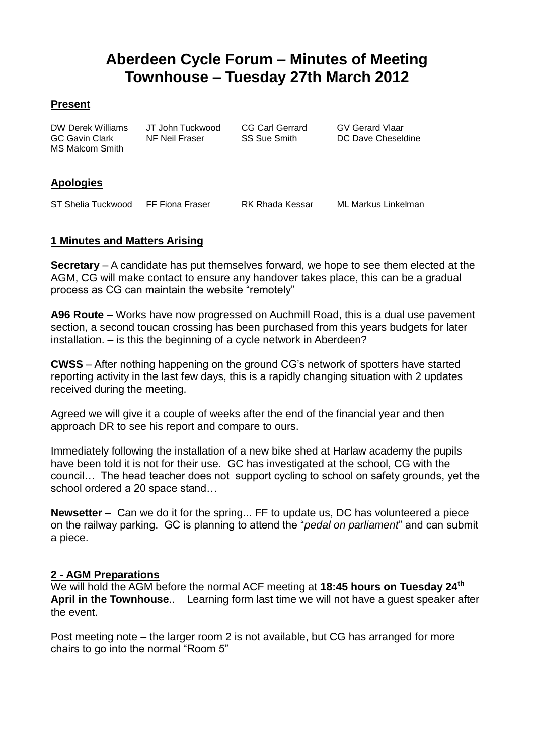# **Aberdeen Cycle Forum – Minutes of Meeting Townhouse – Tuesday 27th March 2012**

#### **Present**

DW Derek Williams JT John Tuckwood CG Carl Gerrard GV Gerard Vlaar MS Malcom Smith

GC Gavin Clark NF Neil Fraser SS Sue Smith DC Dave Cheseldine

## **Apologies**

ST Shelia Tuckwood FF Fiona Fraser RK Rhada Kessar ML Markus Linkelman

## **1 Minutes and Matters Arising**

**Secretary** – A candidate has put themselves forward, we hope to see them elected at the AGM, CG will make contact to ensure any handover takes place, this can be a gradual process as CG can maintain the website "remotely"

**A96 Route** – Works have now progressed on Auchmill Road, this is a dual use pavement section, a second toucan crossing has been purchased from this years budgets for later installation. – is this the beginning of a cycle network in Aberdeen?

**CWSS** – After nothing happening on the ground CG's network of spotters have started reporting activity in the last few days, this is a rapidly changing situation with 2 updates received during the meeting.

Agreed we will give it a couple of weeks after the end of the financial year and then approach DR to see his report and compare to ours.

Immediately following the installation of a new bike shed at Harlaw academy the pupils have been told it is not for their use. GC has investigated at the school, CG with the council… The head teacher does not support cycling to school on safety grounds, yet the school ordered a 20 space stand…

**Newsetter** – Can we do it for the spring... FF to update us, DC has volunteered a piece on the railway parking. GC is planning to attend the "*pedal on parliament*" and can submit a piece.

## **2 - AGM Preparations**

We will hold the AGM before the normal ACF meeting at **18:45 hours on Tuesday 24th April in the Townhouse**.. Learning form last time we will not have a guest speaker after the event.

Post meeting note – the larger room 2 is not available, but CG has arranged for more chairs to go into the normal "Room 5"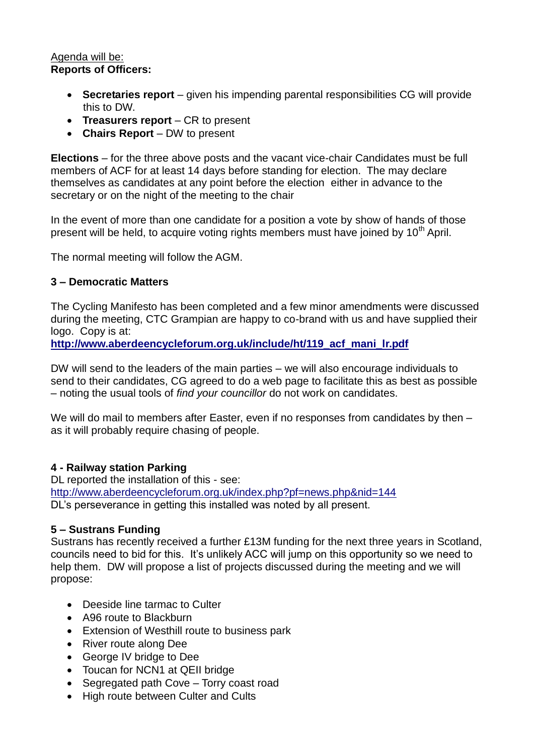#### Agenda will be: **Reports of Officers:**

- **Secretaries report** given his impending parental responsibilities CG will provide this to DW.
- **Treasurers report** CR to present
- **Chairs Report** DW to present

**Elections** – for the three above posts and the vacant vice-chair Candidates must be full members of ACF for at least 14 days before standing for election. The may declare themselves as candidates at any point before the election either in advance to the secretary or on the night of the meeting to the chair

In the event of more than one candidate for a position a vote by show of hands of those present will be held, to acquire voting rights members must have joined by  $10<sup>th</sup>$  April.

The normal meeting will follow the AGM.

#### **3 – Democratic Matters**

The Cycling Manifesto has been completed and a few minor amendments were discussed during the meeting, CTC Grampian are happy to co-brand with us and have supplied their logo. Copy is at:

**[http://www.aberdeencycleforum.org.uk/include/ht/119\\_acf\\_mani\\_lr.pdf](http://www.aberdeencycleforum.org.uk/include/ht/119_acf_mani_lr.pdf)**

DW will send to the leaders of the main parties – we will also encourage individuals to send to their candidates, CG agreed to do a web page to facilitate this as best as possible – noting the usual tools of *find your councillor* do not work on candidates.

We will do mail to members after Easter, even if no responses from candidates by then as it will probably require chasing of people.

#### **4 - Railway station Parking**

DL reported the installation of this - see: <http://www.aberdeencycleforum.org.uk/index.php?pf=news.php&nid=144> DL's perseverance in getting this installed was noted by all present.

#### **5 – Sustrans Funding**

Sustrans has recently received a further £13M funding for the next three years in Scotland, councils need to bid for this. It's unlikely ACC will jump on this opportunity so we need to help them. DW will propose a list of projects discussed during the meeting and we will propose:

- Deeside line tarmac to Culter
- A96 route to Blackburn
- Extension of Westhill route to business park
- River route along Dee
- George IV bridge to Dee
- Toucan for NCN1 at QEII bridge
- Segregated path Cove Torry coast road
- High route between Culter and Cults